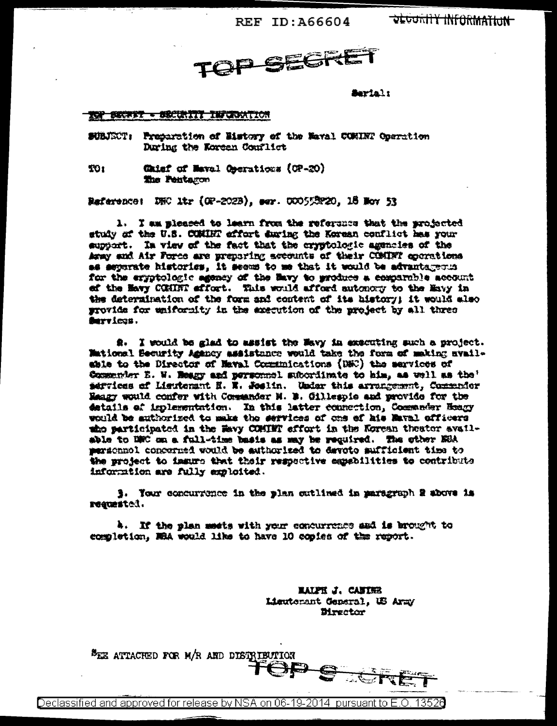REF ID: A66604

**DEGURITY INFORMATION** 



Serial:

## TOP BECART - SECURITY INFORMATION

SUBJECT: Proparation of History of the Maval COMINT Operation During the Korean Conflict

TO<sub>1</sub> Chief of Naval Operations (OP-20) The Pentagon

Bafarence: DHC Mr (OP-202B), ser. 000553220, 18 Mov 53

1. I am misseed to learn from the reference that the projected study of the U.S. COMINT effort during the Korean conflict has your support. In view of the fact that the cryptologic agencies of the Army and Air Force are preparing accounts of their COMDFI operations as separate histories, it seems to me that it would be advantageous for the eryptologic agency of the Bavy to produce a comparable account ef the Havy COMINT effort. This would afford automory to the Havy in the determination of the form and content of its history; it would also provide for unifornity in the axecution of the project by all three Survices.

2. I would be glad to assist the Wavy in executing such a project. Mational Security Amency assistance would take the form of making nyailshie to the Director of Maval Communications (DNC) the services of Commender E. W. Heagy and personnel subordinate to him, as well as the' services of Lieutenant E. R. Seelin. Under this arrangement, Commender Hangy would confer with Commander M. B. Gillespie and provide for the datails of implementation. In this latter connection, Commander Heagy would be authorized to make the services of one of his Maval officers who participated in the Havy COMINT effort in the Korean theater available to DRC on a full-time basis as may be required. The other ERA personnel concerned would be authorized to devote sufficient time to the project to immure that their respective espabilities to contribute information are fully exploited.

3. Your concurrence in the plan cutlined in paragraph 2 above is requested.

h. If the plan meets with your concurrence and is brought to completion, MRA would like to have 10 copies of the report.

> **MALPH J. CANIER** Lieuterant General, US Army Director

<sup>B</sup>EE ATTACHED FOR M/R AND DISTRIBUTION OP <u>नई हैं जि</u>

Declassified and approved for release by NSA on 06-19-2014 pursuant to E.O. 13526